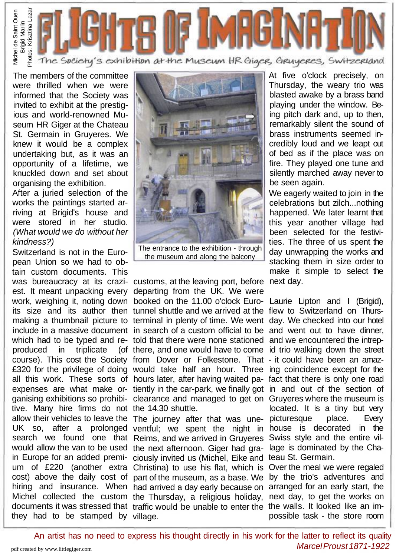

The members of the committee were thrilled when we were informed that the Society was invited to exhibit at the prestigious and world-renowned Museum HR Giger at the Chateau St. Germain in Gruyeres. We knew it would be a complex undertaking but, as it was an opportunity of a lifetime, we knuckled down and set about organising the exhibition.

After a juried selection of the works the paintings started arriving at Brigid's house and were stored in her studio. (What would we do without her kindness?)

Switzerland is not in the European Union so we had to obtain custom documents. This produced in triplicate tive. Many hire firms do not the 14.30 shuttle. they had to be stamped by village.



The entrance to the exhibition - through the museum and along the balcony

was bureaucracy at its crazi- customs, at the leaving port, before next day. est. It meant unpacking every departing from the UK. We were work, weighing it, noting down booked on the 11.00 o'clock Euro- Laurie Lipton and I (Brigid), its size and its author then tunnel shuttle and we arrived at the flew to Switzerland on Thursmaking a thumbnail picture to terminal in plenty of time. We went day. We checked into our hotel include in a massive document in search of a custom official to be and went out to have dinner, which had to be typed and re- told that there were none stationed and we encountered the intrepcourse). This cost the Society from Dover or Folkestone. That - it could have been an amaz-£320 for the privilege of doing would take half an hour. Three ing coincidence except for the all this work. These sorts of hours later, after having waited pa-fact that there is only one road expenses are what make or- tiently in the car-park, we finally got in and out of the section of ganising exhibitions so prohibi-clearance and managed to get on Gruyeres where the museum is there, and one would have to come id trio walking down the street

allow their vehicles to leave the The journey after that was une-picturesque place. Every UK so, after a prolonged ventful; we spent the night in house is decorated in the search we found one that Reims, and we arrived in Gruyeres Swiss style and the entire vilwould allow the van to be used the next afternoon. Giger had gra- lage is dominated by the Chain Europe for an added premi-ciously invited us (Michel, Eike and teau St. Germain. um of £220 (another extra Christina) to use his flat, which is Over the meal we were regaled cost) above the daily cost of part of the museum, as a base. We by the trio's adventures and hiring and insurance. When had arrived a day early because on arranged for an early start, the Michel collected the custom the Thursday, a religious holiday, next day, to get the works on documents it was stressed that traffic would be unable to enter the the walls. It looked like an im-

At five o'clock precisely, on Thursday, the weary trio was blasted awake by a brass band playing under the window. Being pitch dark and, up to then, remarkably silent the sound of brass instruments seemed incredibly loud and we leapt out of bed as if the place was on fire. They played one tune and silently marched away never to be seen again.

We eagerly waited to join in the celebrations but zilch...nothing happened. We later learnt that this year another village had been selected for the festivities. The three of us spent the day unwrapping the works and stacking them in size order to make it simple to select the

located. It is a tiny but very

possible task - the store room

An artist has no need to express his thought directly in his work for the latter to reflect its quality Marcel Proust 1871-1922 pdf created by www.littlegiger.com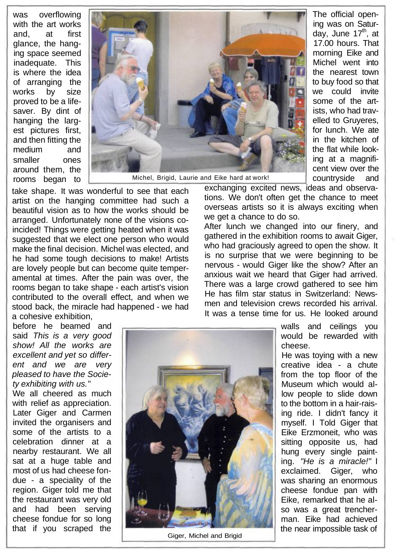was overflowing with the art works and, at first glance, the hanging space seemed inadequate. This is where the idea of arranging the works by size proved to be a lifesaver. By dint of hanging the largest pictures first, and then fitting the medium and smaller ones around them, the rooms began to



Michel, Brigid, Laurie and Eike hard at work!

take shape. It was wonderful to see that each artist on the hanging committee had such a beautiful vision as to how the works should be arranged. Unfortunately none of the visions coincided! Things were getting heated when it was suggested that we elect one person who would make the final decision. Michel was elected, and he had some tough decisions to make! Artists are lovely people but can become quite temperamental at times. After the pain was over, the rooms began to take shape - each artist's vision contributed to the overall effect, and when we stood back, the miracle had happened - we had a cohesive exhibition,

before he beamed and said This is a very good show! All the works are excellent and yet so different and we are very pleased to have the Society exhibiting with us."

We all cheered as much with relief as appreciation. Later Giger and Carmen invited the organisers and some of the artists to a celebration dinner at a nearby restaurant. We all sat at a huge table and most of us had cheese fondue - a speciality of the region. Giger told me that the restaurant was very old and had been serving cheese fondue for so long that if you scraped the



Giger, Michel and Brigid

The official opening was on Saturday, June 17<sup>th</sup>, at 17.00 hours. That morning Eike and Michel went into the nearest town to buy food so that we could invite some of the artists, who had travelled to Gruyeres, for lunch. We ate in the kitchen of the flat while looking at a magnificent view over the countryside and

exchanging excited news, ideas and observations. We don't often get the chance to meet overseas artists so it is always exciting when we get a chance to do so.

After lunch we changed into our finery, and gathered in the exhibition rooms to await Giger, who had graciously agreed to open the show. It is no surprise that we were beginning to be nervous - would Giger like the show? After an anxious wait we heard that Giger had arrived. There was a large crowd gathered to see him He has film star status in Switzerland: Newsmen and television crews recorded his arrival. It was a tense time for us. He looked around

> walls and ceilings you would be rewarded with cheese.

> He was toying with a new creative idea - a chute from the top floor of the Museum which would allow people to slide down to the bottom in a hair-raising ride. I didn't fancy it myself. I Told Giger that Eike Erzmoneit, who was sitting opposite us, had hung every single painting. "He is a miracle!" I exclaimed. Giger, who was sharing an enormous cheese fondue pan with Eike, remarked that he also was a great trencherman. Eike had achieved the near impossible task of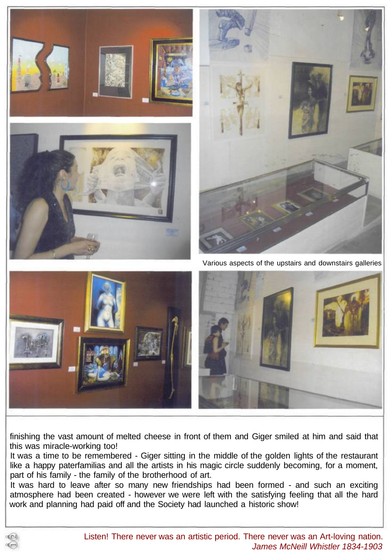

finishing the vast amount of melted cheese in front of them and Giger smiled at him and said that this was miracle-working too!

It was a time to be remembered - Giger sitting in the middle of the golden lights of the restaurant like a happy paterfamilias and all the artists in his magic circle suddenly becoming, for a moment, part of his family - the family of the brotherhood of art.

It was hard to leave after so many new friendships had been formed - and such an exciting atmosphere had been created - however we were left with the satisfying feeling that all the hard work and planning had paid off and the Society had launched a historic show!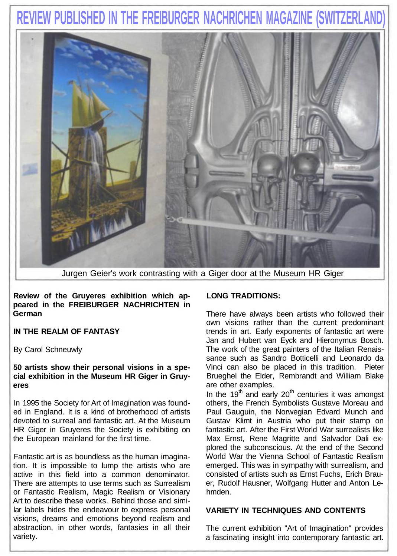## **REVIEW PUBLISHED IN THE FREIBURGER NACHRICHEN MAGAZINE (SWITZERLAND)**



Jurgen Geier's work contrasting with a Giger door at the Museum HR Giger

**Review of the Gruyeres exhibition which appeared in the FREIBURGER NACHRICHTEN in German**

**IN THE REALM OF FANTASY**

By Carol Schneuwly

**50 artists show their personal visions in a special exhibition in the Museum HR Giger in Gruyeres**

In 1995 the Society for Art of Imagination was founded in England. It is a kind of brotherhood of artists devoted to surreal and fantastic art. At the Museum HR Giger in Gruyeres the Society is exhibiting on the European mainland for the first time.

Fantastic art is as boundless as the human imagination. It is impossible to lump the artists who are active in this field into a common denominator. There are attempts to use terms such as Surrealism or Fantastic Realism, Magic Realism or Visionary Art to describe these works. Behind those and similar labels hides the endeavour to express personal visions, dreams and emotions beyond realism and abstraction, in other words, fantasies in all their variety.

## **LONG TRADITIONS:**

There have always been artists who followed their own visions rather than the current predominant trends in art. Early exponents of fantastic art were Jan and Hubert van Eyck and Hieronymus Bosch. The work of the great painters of the Italian Renaissance such as Sandro Botticelli and Leonardo da Vinci can also be placed in this tradition. Pieter Brueghel the Elder, Rembrandt and William Blake are other examples.

In the 19<sup>th</sup> and early  $20<sup>th</sup>$  centuries it was amongst others, the French Symbolists Gustave Moreau and Paul Gauguin, the Norwegian Edvard Munch and Gustav Klimt in Austria who put their stamp on fantastic art. After the First World War surrealists like Max Ernst, Rene Magritte and Salvador Dali explored the subconscious. At the end of the Second World War the Vienna School of Fantastic Realism emerged. This was in sympathy with surrealism, and consisted of artists such as Ernst Fuchs, Erich Brauer, Rudolf Hausner, Wolfgang Hutter and Anton Lehmden.

## **VARIETY IN TECHNIQUES AND CONTENTS**

The current exhibition "Art of Imagination" provides a fascinating insight into contemporary fantastic art.